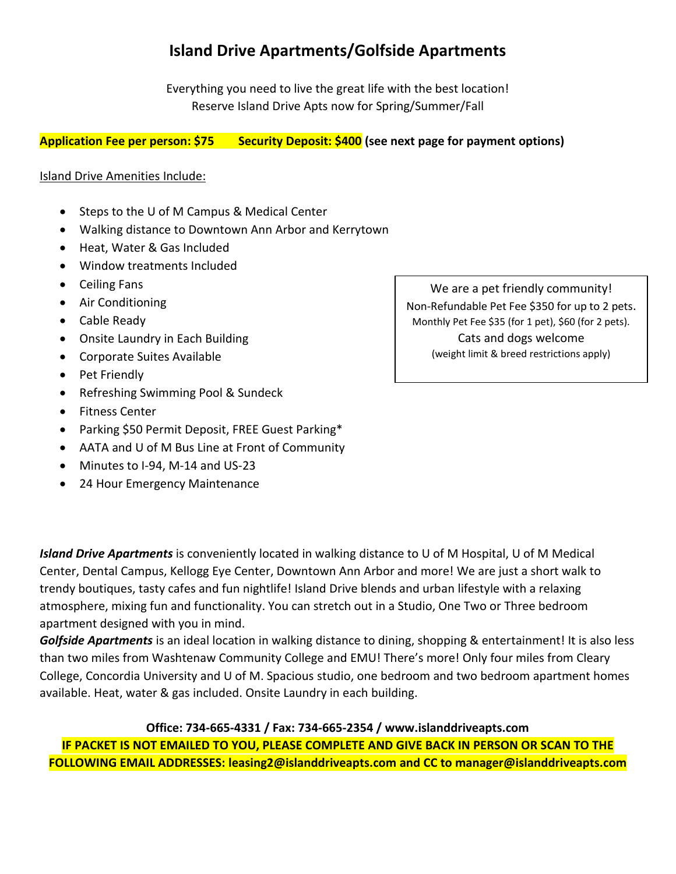# **Island Drive Apartments/Golfside Apartments**

Everything you need to live the great life with the best location! Reserve Island Drive Apts now for Spring/Summer/Fall

### **Application Fee per person: \$75 Security Deposit: \$400 (see next page for payment options)**

#### Island Drive Amenities Include:

- Steps to the U of M Campus & Medical Center
- Walking distance to Downtown Ann Arbor and Kerrytown
- Heat, Water & Gas Included
- Window treatments Included
- Ceiling Fans
- Air Conditioning
- Cable Ready
- Onsite Laundry in Each Building
- Corporate Suites Available
- Pet Friendly
- Refreshing Swimming Pool & Sundeck
- Fitness Center
- Parking \$50 Permit Deposit, FREE Guest Parking\*
- AATA and U of M Bus Line at Front of Community
- Minutes to I-94, M-14 and US-23
- 24 Hour Emergency Maintenance

We are a pet friendly community! Non-Refundable Pet Fee \$350 for up to 2 pets. Monthly Pet Fee \$35 (for 1 pet), \$60 (for 2 pets). Cats and dogs welcome (weight limit & breed restrictions apply)

*Island Drive Apartments* is conveniently located in walking distance to U of M Hospital, U of M Medical Center, Dental Campus, Kellogg Eye Center, Downtown Ann Arbor and more! We are just a short walk to trendy boutiques, tasty cafes and fun nightlife! Island Drive blends and urban lifestyle with a relaxing atmosphere, mixing fun and functionality. You can stretch out in a Studio, One Two or Three bedroom apartment designed with you in mind.

*Golfside Apartments* is an ideal location in walking distance to dining, shopping & entertainment! It is also less than two miles from Washtenaw Community College and EMU! There's more! Only four miles from Cleary College, Concordia University and U of M. Spacious studio, one bedroom and two bedroom apartment homes available. Heat, water & gas included. Onsite Laundry in each building.

**Office: 734-665-4331 / Fax: 734-665-2354 / [www.islanddriveapts.com](http://www.islanddriveapts.com/) IF PACKET IS NOT EMAILED TO YOU, PLEASE COMPLETE AND GIVE BACK IN PERSON OR SCAN TO THE FOLLOWING EMAIL ADDRESSES: [leasing2@islanddriveapts.com](mailto:leasing2@islanddriveapts.com) and CC to manager@islanddriveapts.com**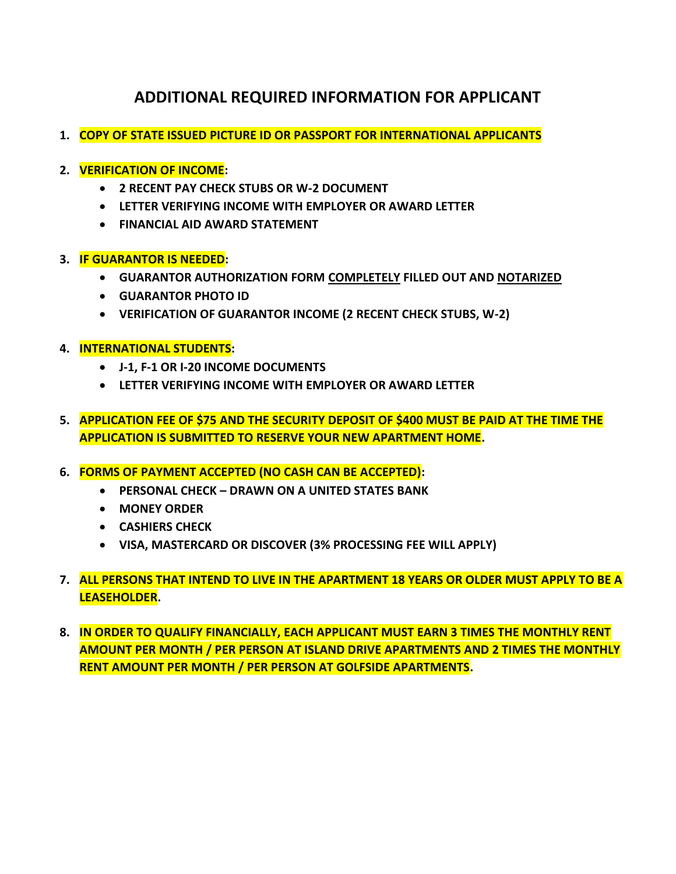## **ADDITIONAL REQUIRED INFORMATION FOR APPLICANT**

- **1. COPY OF STATE ISSUED PICTURE ID OR PASSPORT FOR INTERNATIONAL APPLICANTS**
- **2. VERIFICATION OF INCOME:**
	- **2 RECENT PAY CHECK STUBS OR W-2 DOCUMENT**
	- **LETTER VERIFYING INCOME WITH EMPLOYER OR AWARD LETTER**
	- **FINANCIAL AID AWARD STATEMENT**
- **3. IF GUARANTOR IS NEEDED:**
	- **GUARANTOR AUTHORIZATION FORM COMPLETELY FILLED OUT AND NOTARIZED**
	- **GUARANTOR PHOTO ID**
	- **VERIFICATION OF GUARANTOR INCOME (2 RECENT CHECK STUBS, W-2)**
- **4. INTERNATIONAL STUDENTS:**
	- **J-1, F-1 OR I-20 INCOME DOCUMENTS**
	- **LETTER VERIFYING INCOME WITH EMPLOYER OR AWARD LETTER**
- **5. APPLICATION FEE OF \$75 AND THE SECURITY DEPOSIT OF \$400 MUST BE PAID AT THE TIME THE APPLICATION IS SUBMITTED TO RESERVE YOUR NEW APARTMENT HOME.**
- **6. FORMS OF PAYMENT ACCEPTED (NO CASH CAN BE ACCEPTED):**
	- **PERSONAL CHECK – DRAWN ON A UNITED STATES BANK**
	- **MONEY ORDER**
	- **CASHIERS CHECK**
	- **VISA, MASTERCARD OR DISCOVER (3% PROCESSING FEE WILL APPLY)**
- **7. ALL PERSONS THAT INTEND TO LIVE IN THE APARTMENT 18 YEARS OR OLDER MUST APPLY TO BE A LEASEHOLDER.**
- **8. IN ORDER TO QUALIFY FINANCIALLY, EACH APPLICANT MUST EARN 3 TIMES THE MONTHLY RENT AMOUNT PER MONTH / PER PERSON AT ISLAND DRIVE APARTMENTS AND 2 TIMES THE MONTHLY RENT AMOUNT PER MONTH / PER PERSON AT GOLFSIDE APARTMENTS.**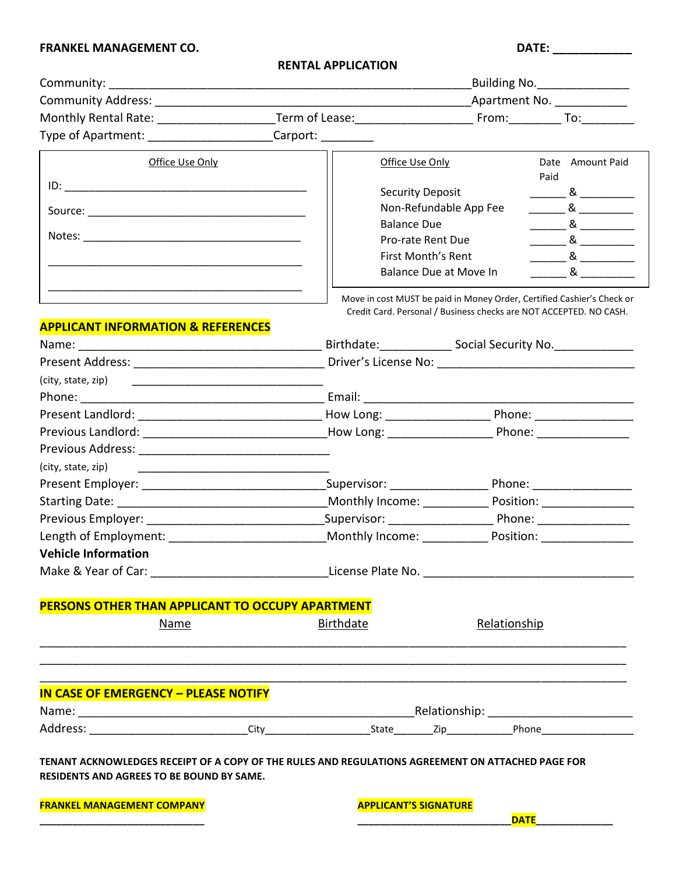## **FRANKEL MANAGEMENT CO. DATE: \_\_\_\_\_\_\_\_\_\_\_\_**

| <b>RENTAL APPLICATION</b> |  |
|---------------------------|--|
|---------------------------|--|

| <b>Community:</b> the community:                                                                                                                      |                                                                                  | Building No. 1994           |                                                                                                                                                                                                                                                                                                                                                                                                                                                                       |  |
|-------------------------------------------------------------------------------------------------------------------------------------------------------|----------------------------------------------------------------------------------|-----------------------------|-----------------------------------------------------------------------------------------------------------------------------------------------------------------------------------------------------------------------------------------------------------------------------------------------------------------------------------------------------------------------------------------------------------------------------------------------------------------------|--|
|                                                                                                                                                       |                                                                                  | Apartment No. _____________ |                                                                                                                                                                                                                                                                                                                                                                                                                                                                       |  |
|                                                                                                                                                       |                                                                                  |                             |                                                                                                                                                                                                                                                                                                                                                                                                                                                                       |  |
| Type of Apartment: ______________________Carport: _________                                                                                           |                                                                                  |                             |                                                                                                                                                                                                                                                                                                                                                                                                                                                                       |  |
| Office Use Only                                                                                                                                       | Office Use Only                                                                  |                             | Date Amount Paid                                                                                                                                                                                                                                                                                                                                                                                                                                                      |  |
|                                                                                                                                                       |                                                                                  |                             | Paid                                                                                                                                                                                                                                                                                                                                                                                                                                                                  |  |
|                                                                                                                                                       | <b>Security Deposit</b>                                                          |                             | $\frac{1}{\sqrt{1-\frac{1}{2}}}\&\frac{1}{\sqrt{1-\frac{1}{2}}}\&\frac{1}{\sqrt{1-\frac{1}{2}}}\&\frac{1}{\sqrt{1-\frac{1}{2}}}\&\frac{1}{\sqrt{1-\frac{1}{2}}}\&\frac{1}{\sqrt{1-\frac{1}{2}}}\&\frac{1}{\sqrt{1-\frac{1}{2}}}\&\frac{1}{\sqrt{1-\frac{1}{2}}}\&\frac{1}{\sqrt{1-\frac{1}{2}}}\&\frac{1}{\sqrt{1-\frac{1}{2}}}\&\frac{1}{\sqrt{1-\frac{1}{2}}}\&\frac{1}{\sqrt{1-\frac{1}{2}}}\&\frac{1$                                                             |  |
|                                                                                                                                                       |                                                                                  | Non-Refundable App Fee      |                                                                                                                                                                                                                                                                                                                                                                                                                                                                       |  |
|                                                                                                                                                       | <b>Balance Due</b>                                                               |                             | $\frac{1}{\sqrt{2}}$ & $\frac{1}{\sqrt{2}}$                                                                                                                                                                                                                                                                                                                                                                                                                           |  |
|                                                                                                                                                       | Pro-rate Rent Due                                                                |                             | $\frac{1}{\sqrt{1-\frac{1}{2}}}\approx\frac{1}{\sqrt{1-\frac{1}{2}}}\approx\frac{1}{\sqrt{1-\frac{1}{2}}}\approx\frac{1}{\sqrt{1-\frac{1}{2}}}\approx\frac{1}{\sqrt{1-\frac{1}{2}}}\approx\frac{1}{\sqrt{1-\frac{1}{2}}}\approx\frac{1}{\sqrt{1-\frac{1}{2}}}\approx\frac{1}{\sqrt{1-\frac{1}{2}}}\approx\frac{1}{\sqrt{1-\frac{1}{2}}}\approx\frac{1}{\sqrt{1-\frac{1}{2}}}\approx\frac{1}{\sqrt{1-\frac{1}{2}}}\approx\frac{1}{\sqrt{1-\frac{1}{2}}}\approx\frac{1$ |  |
|                                                                                                                                                       | First Month's Rent                                                               |                             | $\frac{1}{\sqrt{1-\frac{1}{2}}}\approx\frac{1}{\sqrt{1-\frac{1}{2}}}\approx\frac{1}{\sqrt{1-\frac{1}{2}}}\approx\frac{1}{\sqrt{1-\frac{1}{2}}}\approx\frac{1}{\sqrt{1-\frac{1}{2}}}\approx\frac{1}{\sqrt{1-\frac{1}{2}}}\approx\frac{1}{\sqrt{1-\frac{1}{2}}}\approx\frac{1}{\sqrt{1-\frac{1}{2}}}\approx\frac{1}{\sqrt{1-\frac{1}{2}}}\approx\frac{1}{\sqrt{1-\frac{1}{2}}}\approx\frac{1}{\sqrt{1-\frac{1}{2}}}\approx\frac{1}{\sqrt{1-\frac{1}{2}}}\approx\frac{1$ |  |
|                                                                                                                                                       |                                                                                  | Balance Due at Move In      |                                                                                                                                                                                                                                                                                                                                                                                                                                                                       |  |
|                                                                                                                                                       |                                                                                  |                             | Move in cost MUST be paid in Money Order, Certified Cashier's Check or                                                                                                                                                                                                                                                                                                                                                                                                |  |
|                                                                                                                                                       |                                                                                  |                             | Credit Card. Personal / Business checks are NOT ACCEPTED. NO CASH.                                                                                                                                                                                                                                                                                                                                                                                                    |  |
| <b>APPLICANT INFORMATION &amp; REFERENCES</b>                                                                                                         |                                                                                  |                             |                                                                                                                                                                                                                                                                                                                                                                                                                                                                       |  |
|                                                                                                                                                       | Birthdate: ______________________ Social Security No. __________________________ |                             |                                                                                                                                                                                                                                                                                                                                                                                                                                                                       |  |
|                                                                                                                                                       |                                                                                  |                             |                                                                                                                                                                                                                                                                                                                                                                                                                                                                       |  |
|                                                                                                                                                       |                                                                                  |                             |                                                                                                                                                                                                                                                                                                                                                                                                                                                                       |  |
|                                                                                                                                                       |                                                                                  |                             |                                                                                                                                                                                                                                                                                                                                                                                                                                                                       |  |
|                                                                                                                                                       |                                                                                  |                             |                                                                                                                                                                                                                                                                                                                                                                                                                                                                       |  |
| Previous Landlord: ___________________________________How Long: _________________________Phone: ______________                                        |                                                                                  |                             |                                                                                                                                                                                                                                                                                                                                                                                                                                                                       |  |
|                                                                                                                                                       |                                                                                  |                             |                                                                                                                                                                                                                                                                                                                                                                                                                                                                       |  |
| (city, state, zip)                                                                                                                                    |                                                                                  |                             |                                                                                                                                                                                                                                                                                                                                                                                                                                                                       |  |
|                                                                                                                                                       |                                                                                  |                             |                                                                                                                                                                                                                                                                                                                                                                                                                                                                       |  |
|                                                                                                                                                       |                                                                                  |                             |                                                                                                                                                                                                                                                                                                                                                                                                                                                                       |  |
|                                                                                                                                                       |                                                                                  |                             |                                                                                                                                                                                                                                                                                                                                                                                                                                                                       |  |
|                                                                                                                                                       | Monthly Income: Position: Monthly Income:                                        |                             |                                                                                                                                                                                                                                                                                                                                                                                                                                                                       |  |
| <b>Vehicle Information</b>                                                                                                                            |                                                                                  |                             |                                                                                                                                                                                                                                                                                                                                                                                                                                                                       |  |
|                                                                                                                                                       |                                                                                  |                             |                                                                                                                                                                                                                                                                                                                                                                                                                                                                       |  |
|                                                                                                                                                       |                                                                                  |                             |                                                                                                                                                                                                                                                                                                                                                                                                                                                                       |  |
| PERSONS OTHER THAN APPLICANT TO OCCUPY APARTMENT                                                                                                      |                                                                                  |                             |                                                                                                                                                                                                                                                                                                                                                                                                                                                                       |  |
| <b>Name</b>                                                                                                                                           | <b>Birthdate</b>                                                                 | Relationship                |                                                                                                                                                                                                                                                                                                                                                                                                                                                                       |  |
|                                                                                                                                                       |                                                                                  |                             |                                                                                                                                                                                                                                                                                                                                                                                                                                                                       |  |
| <b>IN CASE OF EMERGENCY - PLEASE NOTIFY</b>                                                                                                           |                                                                                  |                             |                                                                                                                                                                                                                                                                                                                                                                                                                                                                       |  |
|                                                                                                                                                       |                                                                                  |                             |                                                                                                                                                                                                                                                                                                                                                                                                                                                                       |  |
|                                                                                                                                                       |                                                                                  |                             |                                                                                                                                                                                                                                                                                                                                                                                                                                                                       |  |
| TENANT ACKNOWLEDGES RECEIPT OF A COPY OF THE RULES AND REGULATIONS AGREEMENT ON ATTACHED PAGE FOR<br><b>RESIDENTS AND AGREES TO BE BOUND BY SAME.</b> |                                                                                  |                             |                                                                                                                                                                                                                                                                                                                                                                                                                                                                       |  |
|                                                                                                                                                       |                                                                                  |                             |                                                                                                                                                                                                                                                                                                                                                                                                                                                                       |  |
| <b>FRANKEL MANAGEMENT COMPANY</b>                                                                                                                     | <b>APPLICANT'S SIGNATURE</b>                                                     |                             | <b>DATE</b>                                                                                                                                                                                                                                                                                                                                                                                                                                                           |  |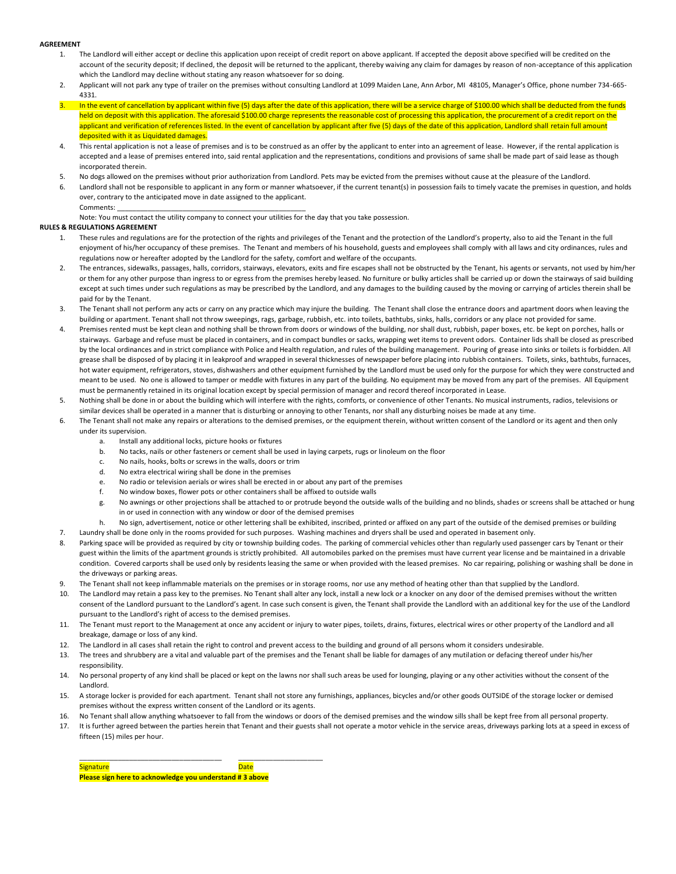#### **AGREEMENT**

- 1. The Landlord will either accept or decline this application upon receipt of credit report on above applicant. If accepted the deposit above specified will be credited on the account of the security deposit; If declined, the deposit will be returned to the applicant, thereby waiving any claim for damages by reason of non-acceptance of this application which the Landlord may decline without stating any reason whatsoever for so doing.
- 2. Applicant will not park any type of trailer on the premises without consulting Landlord at 1099 Maiden Lane, Ann Arbor, MI 48105, Manager's Office, phone number 734-665- 4331.
- In the event of cancellation by applicant within five (5) days after the date of this application, there will be a service charge of \$100.00 which shall be deducted from the funds held on deposit with this application. The aforesaid \$100.00 charge represents the reasonable cost of processing this application, the procurement of a credit report on the applicant and verification of references listed. In the event of cancellation by applicant after five (5) days of the date of this application, Landlord shall retain full amount deposited with it as Liquidated damages.
- 4. This rental application is not a lease of premises and is to be construed as an offer by the applicant to enter into an agreement of lease. However, if the rental application is accepted and a lease of premises entered into, said rental application and the representations, conditions and provisions of same shall be made part of said lease as though incorporated therein.
- 5. No dogs allowed on the premises without prior authorization from Landlord. Pets may be evicted from the premises without cause at the pleasure of the Landlord.
- 6. Landlord shall not be responsible to applicant in any form or manner whatsoever, if the current tenant(s) in possession fails to timely vacate the premises in question, and holds over, contrary to the anticipated move in date assigned to the applicant. Comments:
- Note: You must contact the utility company to connect your utilities for the day that you take possession.

#### **RULES & REGULATIONS AGREEMENT**

- 1. These rules and regulations are for the protection of the rights and privileges of the Tenant and the protection of the Landlord's property, also to aid the Tenant in the full enjoyment of his/her occupancy of these premises. The Tenant and members of his household, guests and employees shall comply with all laws and city ordinances, rules and regulations now or hereafter adopted by the Landlord for the safety, comfort and welfare of the occupants.
- 2. The entrances, sidewalks, passages, halls, corridors, stairways, elevators, exits and fire escapes shall not be obstructed by the Tenant, his agents or servants, not used by him/her or them for any other purpose than ingress to or egress from the premises hereby leased. No furniture or bulky articles shall be carried up or down the stairways of said building except at such times under such regulations as may be prescribed by the Landlord, and any damages to the building caused by the moving or carrying of articles therein shall be paid for by the Tenant.
- The Tenant shall not perform any acts or carry on any practice which may injure the building. The Tenant shall close the entrance doors and apartment doors when leaving the building or apartment. Tenant shall not throw sweepings, rags, garbage, rubbish, etc. into toilets, bathtubs, sinks, halls, corridors or any place not provided for same.
- 4. Premises rented must be kept clean and nothing shall be thrown from doors or windows of the building, nor shall dust, rubbish, paper boxes, etc. be kept on porches, halls or stairways. Garbage and refuse must be placed in containers, and in compact bundles or sacks, wrapping wet items to prevent odors. Container lids shall be closed as prescribed by the local ordinances and in strict compliance with Police and Health regulation, and rules of the building management. Pouring of grease into sinks or toilets is forbidden. All grease shall be disposed of by placing it in leakproof and wrapped in several thicknesses of newspaper before placing into rubbish containers. Toilets, sinks, bathtubs, furnaces, hot water equipment, refrigerators, stoves, dishwashers and other equipment furnished by the Landlord must be used only for the purpose for which they were constructed and meant to be used. No one is allowed to tamper or meddle with fixtures in any part of the building. No equipment may be moved from any part of the premises. All Equipment must be permanently retained in its original location except by special permission of manager and record thereof incorporated in Lease.
- 5. Nothing shall be done in or about the building which will interfere with the rights, comforts, or convenience of other Tenants. No musical instruments, radios, televisions or similar devices shall be operated in a manner that is disturbing or annoying to other Tenants, nor shall any disturbing noises be made at any time.
- 6. The Tenant shall not make any repairs or alterations to the demised premises, or the equipment therein, without written consent of the Landlord or its agent and then only under its supervision.
	- a. Install any additional locks, picture hooks or fixtures
	- b. No tacks, nails or other fasteners or cement shall be used in laying carpets, rugs or linoleum on the floor
	- c. No nails, hooks, bolts or screws in the walls, doors or trim
	- d. No extra electrical wiring shall be done in the premises
	- e. No radio or television aerials or wires shall be erected in or about any part of the premises
	- f. No window boxes, flower pots or other containers shall be affixed to outside walls
	- g. No awnings or other projections shall be attached to or protrude beyond the outside walls of the building and no blinds, shades or screens shall be attached or hung in or used in connection with any window or door of the demised premises
- h. No sign, advertisement, notice or other lettering shall be exhibited, inscribed, printed or affixed on any part of the outside of the demised premises or building 7. Laundry shall be done only in the rooms provided for such purposes. Washing machines and dryers shall be used and operated in basement only.
- 8. Parking space will be provided as required by city or township building codes. The parking of commercial vehicles other than regularly used passenger cars by Tenant or their guest within the limits of the apartment grounds is strictly prohibited. All automobiles parked on the premises must have current year license and be maintained in a drivable condition. Covered carports shall be used only by residents leasing the same or when provided with the leased premises. No car repairing, polishing or washing shall be done in the driveways or parking areas.
- 9. The Tenant shall not keep inflammable materials on the premises or in storage rooms, nor use any method of heating other than that supplied by the Landlord.
- 10. The Landlord may retain a pass key to the premises. No Tenant shall alter any lock, install a new lock or a knocker on any door of the demised premises without the written consent of the Landlord pursuant to the Landlord's agent. In case such consent is given, the Tenant shall provide the Landlord with an additional key for the use of the Landlord pursuant to the Landlord's right of access to the demised premises.
- 11. The Tenant must report to the Management at once any accident or injury to water pipes, toilets, drains, fixtures, electrical wires or other property of the Landlord and all breakage, damage or loss of any kind.
- 12. The Landlord in all cases shall retain the right to control and prevent access to the building and ground of all persons whom it considers undesirable.
- 13. The trees and shrubbery are a vital and valuable part of the premises and the Tenant shall be liable for damages of any mutilation or defacing thereof under his/her responsibility.
- 14. No personal property of any kind shall be placed or kept on the lawns nor shall such areas be used for lounging, playing or any other activities without the consent of the Landlord.
- 15. A storage locker is provided for each apartment. Tenant shall not store any furnishings, appliances, bicycles and/or other goods OUTSIDE of the storage locker or demised premises without the express written consent of the Landlord or its agents.
- 16. No Tenant shall allow anything whatsoever to fall from the windows or doors of the demised premises and the window sills shall be kept free from all personal property.
- 17. It is further agreed between the parties herein that Tenant and their guests shall not operate a motor vehicle in the service areas, driveways parking lots at a speed in excess of fifteen (15) miles per hour.

Signature and Date Date of the Date of the Date of the Date of the Date of the Date of the Date of the Date of **Please sign here to acknowledge you understand # 3 above**

\_\_\_\_\_\_\_\_\_\_\_\_\_\_\_\_\_\_\_\_\_\_\_\_\_\_\_\_\_\_\_\_\_\_\_\_\_ \_\_\_\_\_\_\_\_\_\_\_\_\_\_\_\_\_\_\_\_\_\_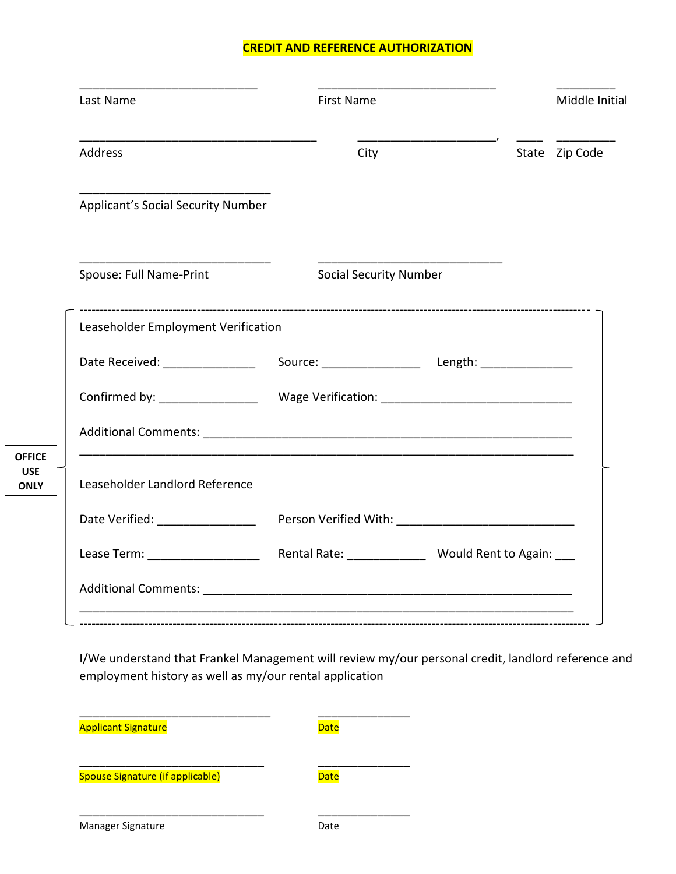#### **CREDIT AND REFERENCE AUTHORIZATION**

| Last Name                                                                                                                                                                                                                      | <b>First Name</b>             |  | Middle Initial |
|--------------------------------------------------------------------------------------------------------------------------------------------------------------------------------------------------------------------------------|-------------------------------|--|----------------|
| Address                                                                                                                                                                                                                        | City                          |  | State Zip Code |
| Applicant's Social Security Number                                                                                                                                                                                             |                               |  |                |
| Spouse: Full Name-Print                                                                                                                                                                                                        | <b>Social Security Number</b> |  |                |
| Leaseholder Employment Verification                                                                                                                                                                                            |                               |  |                |
|                                                                                                                                                                                                                                |                               |  |                |
|                                                                                                                                                                                                                                |                               |  |                |
|                                                                                                                                                                                                                                |                               |  |                |
| Leaseholder Landlord Reference                                                                                                                                                                                                 |                               |  |                |
| Date Verified: __________________                                                                                                                                                                                              |                               |  |                |
|                                                                                                                                                                                                                                |                               |  |                |
| Additional Comments: Note that the state of the state of the state of the state of the state of the state of the state of the state of the state of the state of the state of the state of the state of the state of the state |                               |  |                |

I/We understand that Frankel Management will review my/our personal credit, landlord reference and employment history as well as my/our rental application

| <b>Applicant Signature</b>       | <b>Date</b> |
|----------------------------------|-------------|
| Spouse Signature (if applicable) | <b>Date</b> |
| Manager Signature                | Date        |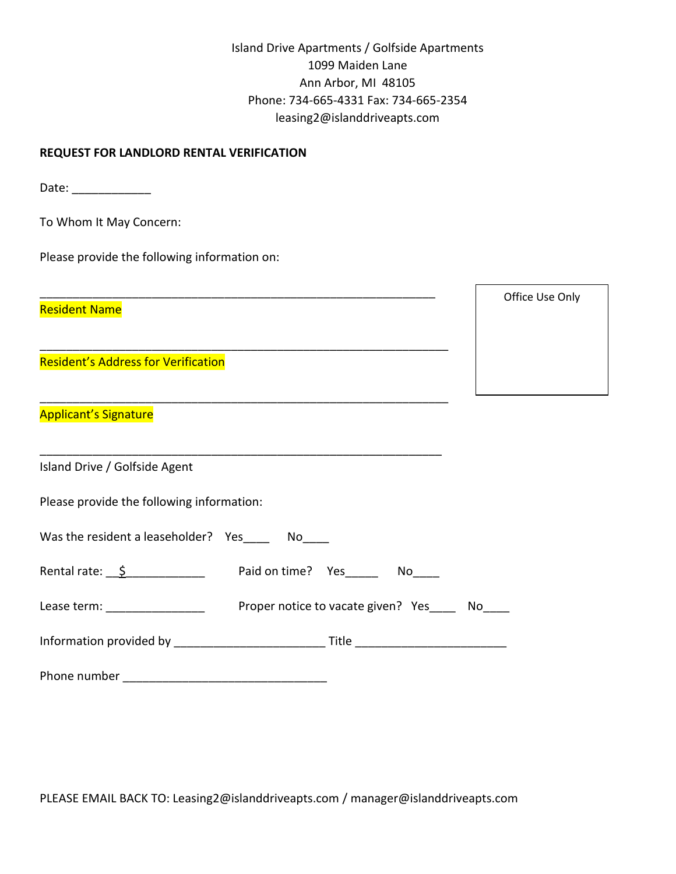| Island Drive Apartments / Golfside Apartments |
|-----------------------------------------------|
| 1099 Maiden Lane                              |
| Ann Arbor, MI 48105                           |
| Phone: 734-665-4331 Fax: 734-665-2354         |
| leasing2@islanddriveapts.com                  |

Office Use Only

#### **REQUEST FOR LANDLORD RENTAL VERIFICATION**

Date: \_\_\_\_\_\_\_\_\_\_\_\_\_\_\_\_

To Whom It May Concern:

Please provide the following information on:

\_\_\_\_\_\_\_\_\_\_\_\_\_\_\_\_\_\_\_\_\_\_\_\_\_\_\_\_\_\_\_\_\_\_\_\_\_\_\_\_\_\_\_\_\_\_\_\_\_\_\_\_\_\_\_\_\_\_\_\_

\_\_\_\_\_\_\_\_\_\_\_\_\_\_\_\_\_\_\_\_\_\_\_\_\_\_\_\_\_\_\_\_\_\_\_\_\_\_\_\_\_\_\_\_\_\_\_\_\_\_\_\_\_\_\_\_\_\_\_\_\_\_

\_\_\_\_\_\_\_\_\_\_\_\_\_\_\_\_\_\_\_\_\_\_\_\_\_\_\_\_\_\_\_\_\_\_\_\_\_\_\_\_\_\_\_\_\_\_\_\_\_\_\_\_\_\_\_\_\_\_\_\_\_\_

Resident Name

Resident's Address for Verification

Applicant's Signature

| Island Drive / Golfside Agent             |                                       |
|-------------------------------------------|---------------------------------------|
| Please provide the following information: |                                       |
| Was the resident a leaseholder? Yes No    |                                       |
| Rental rate: $\frac{S}{2}$                | Paid on time? Yes No                  |
| Lease term: __________________            | Proper notice to vacate given? Yes No |
|                                           |                                       |
| Phone number                              |                                       |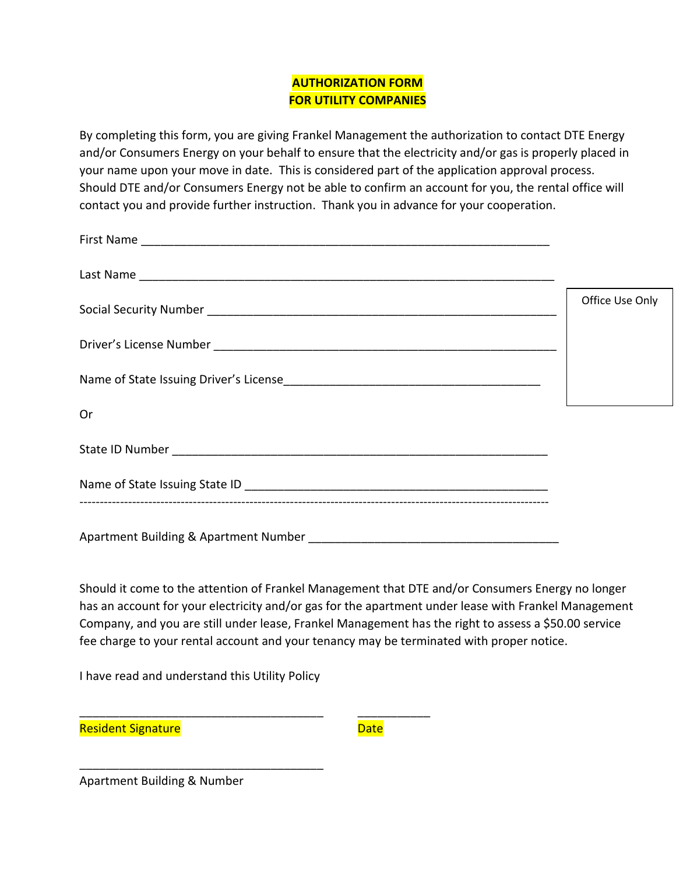### **AUTHORIZATION FORM FOR UTILITY COMPANIES**

By completing this form, you are giving Frankel Management the authorization to contact DTE Energy and/or Consumers Energy on your behalf to ensure that the electricity and/or gas is properly placed in your name upon your move in date. This is considered part of the application approval process. Should DTE and/or Consumers Energy not be able to confirm an account for you, the rental office will contact you and provide further instruction. Thank you in advance for your cooperation.

|                                       | Office Use Only |
|---------------------------------------|-----------------|
|                                       |                 |
|                                       |                 |
| Or                                    |                 |
|                                       |                 |
|                                       |                 |
| Apartment Building & Apartment Number |                 |

Should it come to the attention of Frankel Management that DTE and/or Consumers Energy no longer has an account for your electricity and/or gas for the apartment under lease with Frankel Management Company, and you are still under lease, Frankel Management has the right to assess a \$50.00 service fee charge to your rental account and your tenancy may be terminated with proper notice.

I have read and understand this Utility Policy

\_\_\_\_\_\_\_\_\_\_\_\_\_\_\_\_\_\_\_\_\_\_\_\_\_\_\_\_\_\_\_\_\_\_\_\_\_

\_\_\_\_\_\_\_\_\_\_\_\_\_\_\_\_\_\_\_\_\_\_\_\_\_\_\_\_\_\_\_\_\_\_\_\_\_ \_\_\_\_\_\_\_\_\_\_\_

Resident Signature de Late de Late de Late de Late de Late de Late de Late de Late

Apartment Building & Number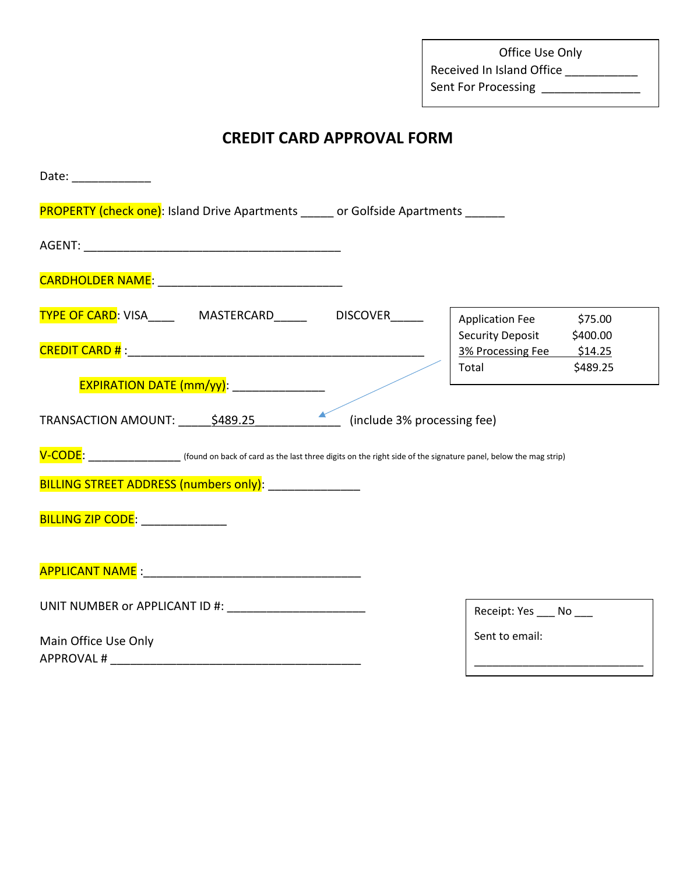Office Use Only Received In Island Office \_\_\_\_\_\_\_\_\_\_\_ Sent For Processing \_\_\_\_\_\_\_\_\_\_\_\_\_\_\_\_\_

## **CREDIT CARD APPROVAL FORM**

| Date: ___________                                                                                                                                                                                                                       |                                    |          |
|-----------------------------------------------------------------------------------------------------------------------------------------------------------------------------------------------------------------------------------------|------------------------------------|----------|
| <b>PROPERTY (check one):</b> Island Drive Apartments or Golfside Apartments                                                                                                                                                             |                                    |          |
|                                                                                                                                                                                                                                         |                                    |          |
|                                                                                                                                                                                                                                         |                                    |          |
| TYPE OF CARD: VISA___________ MASTERCARD_____________ DISCOVER_______                                                                                                                                                                   | <b>Application Fee</b>             | \$75.00  |
|                                                                                                                                                                                                                                         | <b>Security Deposit</b>            | \$400.00 |
|                                                                                                                                                                                                                                         | 3% Processing Fee \$14.25<br>Total | \$489.25 |
| EXPIRATION DATE (mm/yy): _______________                                                                                                                                                                                                |                                    |          |
| TRANSACTION AMOUNT: ______ \$489.25 ______________________ (include 3% processing fee)<br>V-CODE: ______________________ (found on back of card as the last three digits on the right side of the signature panel, below the mag strip) |                                    |          |
| BILLING STREET ADDRESS (numbers only): ________________                                                                                                                                                                                 |                                    |          |
| BILLING ZIP CODE: _______________                                                                                                                                                                                                       |                                    |          |
|                                                                                                                                                                                                                                         |                                    |          |
|                                                                                                                                                                                                                                         | Receipt: Yes ____ No ___           |          |
| Main Office Use Only                                                                                                                                                                                                                    | Sent to email:                     |          |
|                                                                                                                                                                                                                                         |                                    |          |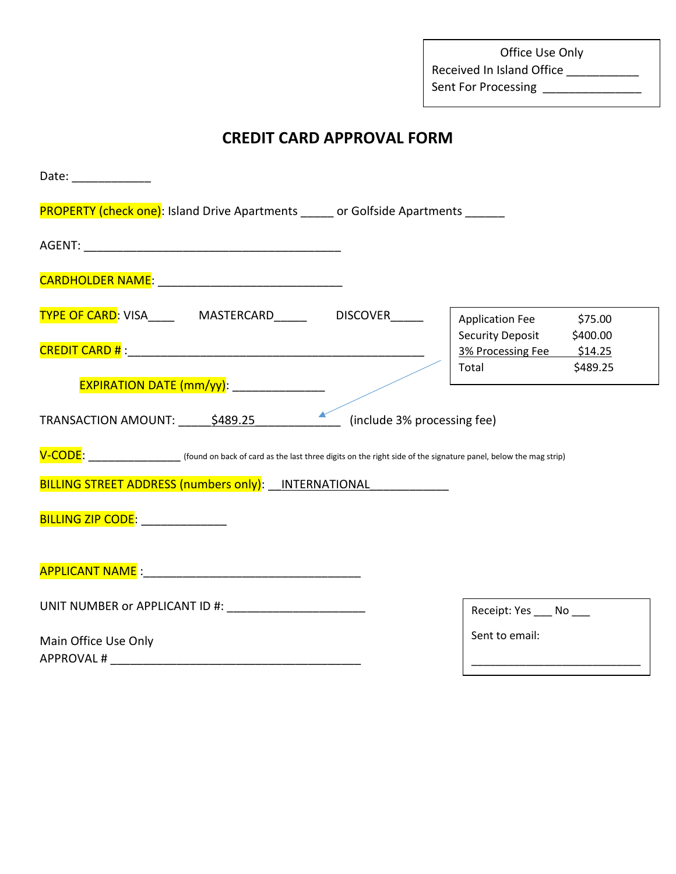Office Use Only Received In Island Office \_\_\_\_\_\_\_\_\_\_\_\_ Sent For Processing \_\_\_\_\_\_\_\_\_\_\_\_\_\_\_\_\_

## **CREDIT CARD APPROVAL FORM**

| Date: ______________                                                                                                                                                           |                                                |
|--------------------------------------------------------------------------------------------------------------------------------------------------------------------------------|------------------------------------------------|
| <b>PROPERTY (check one)</b> : Island Drive Apartments _____ or Golfside Apartments _____                                                                                       |                                                |
|                                                                                                                                                                                |                                                |
|                                                                                                                                                                                |                                                |
| TYPE OF CARD: VISA______  MASTERCARD_______  DISCOVER______                                                                                                                    | \$75.00<br><b>Application Fee</b>              |
|                                                                                                                                                                                | <b>Security Deposit</b><br>\$400.00            |
|                                                                                                                                                                                | 3% Processing Fee \$14.25<br>\$489.25<br>Total |
| EXPIRATION DATE (mm/yy): ________________                                                                                                                                      |                                                |
|                                                                                                                                                                                |                                                |
| TRANSACTION AMOUNT: \$489.25<br>(include 3% processing fee)                                                                                                                    |                                                |
| V-CODE: (found on back of card as the last three digits on the right side of the signature panel, below the mag strip)<br>BILLING STREET ADDRESS (numbers only): INTERNATIONAL |                                                |
| BILLING ZIP CODE: NAMA CODE:                                                                                                                                                   |                                                |
|                                                                                                                                                                                |                                                |
| UNIT NUMBER or APPLICANT ID #: ________________________                                                                                                                        | Receipt: Yes ____ No ___                       |
| Main Office Use Only                                                                                                                                                           | Sent to email:                                 |
|                                                                                                                                                                                |                                                |